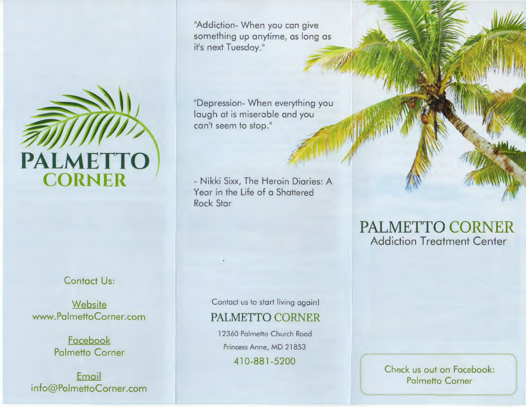

## Contact Us:

**Website** www.PalmettoCorner.com

> **Facebook** Palmetto Corner

Email info@PalmettoCorner.com

"Addiction- When you can give something up anytime, as long as it's next Tuesday."

"Depression- When everything you laugh at is miserable and you can't seem to stop."

- Nikki Sixx, The Heroin Diaries: A Year in the Life of a Shattered Rock Star

> Contact us to start living again! PALMETTO CORNER

12360 Palmetto Church Road Princess Anne, MD 21853

41 0-881 -5200

## **PALMETTO CORNER**  Addiction Treatment Center

Check us out on Facebook: Palmetto Corner